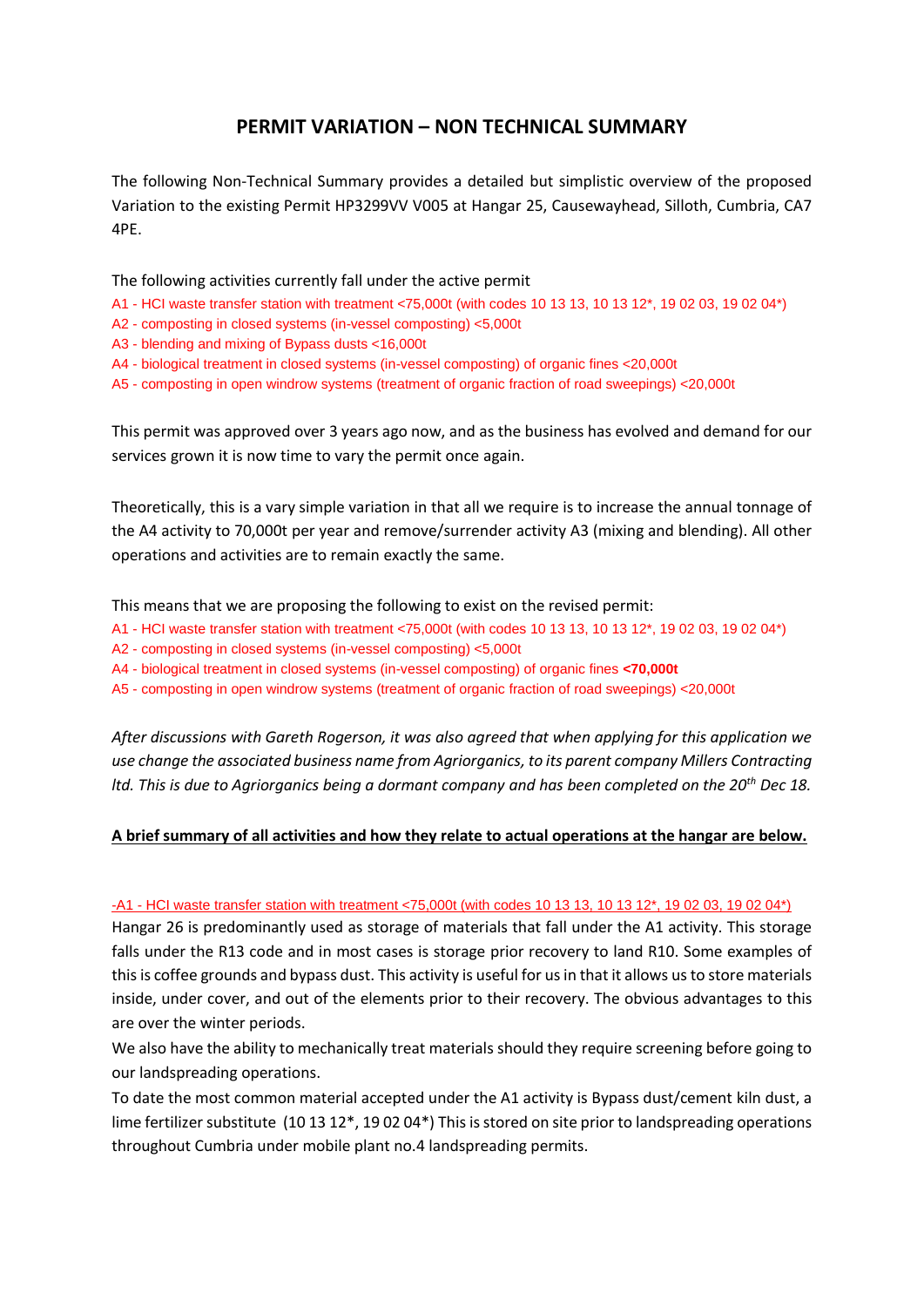# **PERMIT VARIATION – NON TECHNICAL SUMMARY**

The following Non-Technical Summary provides a detailed but simplistic overview of the proposed Variation to the existing Permit HP3299VV V005 at Hangar 25, Causewayhead, Silloth, Cumbria, CA7 4PE.

The following activities currently fall under the active permit

- A1 HCI waste transfer station with treatment <75,000t (with codes 10 13 13, 10 13 12\*, 19 02 03, 19 02 04\*)
- A2 composting in closed systems (in-vessel composting) <5,000t
- A3 blending and mixing of Bypass dusts <16,000t
- A4 biological treatment in closed systems (in-vessel composting) of organic fines <20,000t
- A5 composting in open windrow systems (treatment of organic fraction of road sweepings) <20,000t

This permit was approved over 3 years ago now, and as the business has evolved and demand for our services grown it is now time to vary the permit once again.

Theoretically, this is a vary simple variation in that all we require is to increase the annual tonnage of the A4 activity to 70,000t per year and remove/surrender activity A3 (mixing and blending). All other operations and activities are to remain exactly the same.

This means that we are proposing the following to exist on the revised permit:

- A1 HCI waste transfer station with treatment <75,000t (with codes 10 13 13, 10 13 12\*, 19 02 03, 19 02 04\*)
- A2 composting in closed systems (in-vessel composting) <5,000t
- A4 biological treatment in closed systems (in-vessel composting) of organic fines **<70,000t**
- A5 composting in open windrow systems (treatment of organic fraction of road sweepings) <20,000t

*After discussions with Gareth Rogerson, it was also agreed that when applying for this application we use change the associated business name from Agriorganics, to its parent company Millers Contracting ltd. This is due to Agriorganics being a dormant company and has been completed on the 20th Dec 18.*

## **A brief summary of all activities and how they relate to actual operations at the hangar are below.**

### -A1 - HCI waste transfer station with treatment <75,000t (with codes 10 13 13, 10 13 12\*, 19 02 03, 19 02 04\*)

Hangar 26 is predominantly used as storage of materials that fall under the A1 activity. This storage falls under the R13 code and in most cases is storage prior recovery to land R10. Some examples of this is coffee grounds and bypass dust. This activity is useful for us in that it allows us to store materials inside, under cover, and out of the elements prior to their recovery. The obvious advantages to this are over the winter periods.

We also have the ability to mechanically treat materials should they require screening before going to our landspreading operations.

To date the most common material accepted under the A1 activity is Bypass dust/cement kiln dust, a lime fertilizer substitute (10 13 12\*, 19 02 04\*) This is stored on site prior to landspreading operations throughout Cumbria under mobile plant no.4 landspreading permits.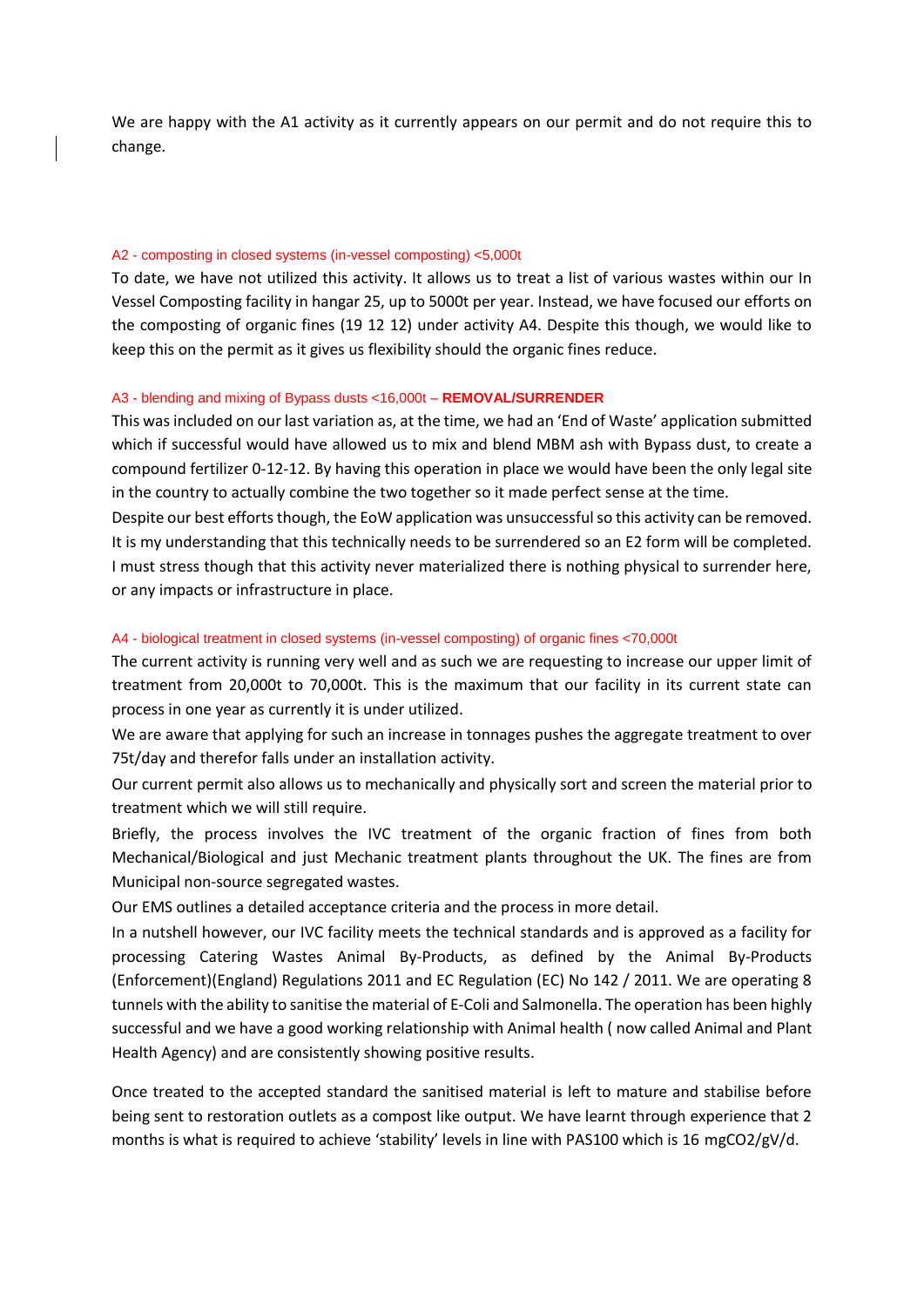We are happy with the A1 activity as it currently appears on our permit and do not require this to change.

## A2 - composting in closed systems (in-vessel composting) <5,000t

To date, we have not utilized this activity. It allows us to treat a list of various wastes within our In Vessel Composting facility in hangar 25, up to 5000t per year. Instead, we have focused our efforts on the composting of organic fines (19 12 12) under activity A4. Despite this though, we would like to keep this on the permit as it gives us flexibility should the organic fines reduce.

#### A3 - blending and mixing of Bypass dusts <16,000t – **REMOVAL/SURRENDER**

This was included on our last variation as, at the time, we had an 'End of Waste' application submitted which if successful would have allowed us to mix and blend MBM ash with Bypass dust, to create a compound fertilizer 0-12-12. By having this operation in place we would have been the only legal site in the country to actually combine the two together so it made perfect sense at the time.

Despite our best efforts though, the EoW application was unsuccessful so this activity can be removed. It is my understanding that this technically needs to be surrendered so an E2 form will be completed. I must stress though that this activity never materialized there is nothing physical to surrender here, or any impacts or infrastructure in place.

#### A4 - biological treatment in closed systems (in-vessel composting) of organic fines <70,000t

The current activity is running very well and as such we are requesting to increase our upper limit of treatment from 20,000t to 70,000t. This is the maximum that our facility in its current state can process in one year as currently it is under utilized.

We are aware that applying for such an increase in tonnages pushes the aggregate treatment to over 75t/day and therefor falls under an installation activity.

Our current permit also allows us to mechanically and physically sort and screen the material prior to treatment which we will still require.

Briefly, the process involves the IVC treatment of the organic fraction of fines from both Mechanical/Biological and just Mechanic treatment plants throughout the UK. The fines are from Municipal non-source segregated wastes.

Our EMS outlines a detailed acceptance criteria and the process in more detail.

In a nutshell however, our IVC facility meets the technical standards and is approved as a facility for processing Catering Wastes Animal By-Products, as defined by the Animal By-Products (Enforcement)(England) Regulations 2011 and EC Regulation (EC) No 142 / 2011. We are operating 8 tunnels with the ability to sanitise the material of E-Coli and Salmonella. The operation has been highly successful and we have a good working relationship with Animal health ( now called Animal and Plant Health Agency) and are consistently showing positive results.

Once treated to the accepted standard the sanitised material is left to mature and stabilise before being sent to restoration outlets as a compost like output. We have learnt through experience that 2 months is what is required to achieve 'stability' levels in line with PAS100 which is 16 mgCO2/gV/d.